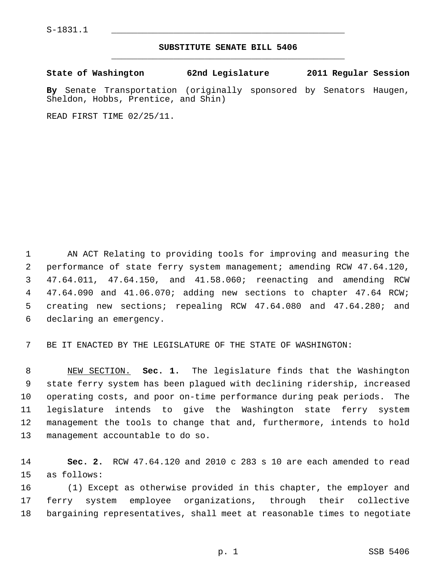$S-1831.1$ 

## **SUBSTITUTE SENATE BILL 5406** \_\_\_\_\_\_\_\_\_\_\_\_\_\_\_\_\_\_\_\_\_\_\_\_\_\_\_\_\_\_\_\_\_\_\_\_\_\_\_\_\_\_\_\_\_

**State of Washington 62nd Legislature 2011 Regular Session**

**By** Senate Transportation (originally sponsored by Senators Haugen, Sheldon, Hobbs, Prentice, and Shin)

READ FIRST TIME 02/25/11.

 1 AN ACT Relating to providing tools for improving and measuring the 2 performance of state ferry system management; amending RCW 47.64.120, 3 47.64.011, 47.64.150, and 41.58.060; reenacting and amending RCW 4 47.64.090 and 41.06.070; adding new sections to chapter 47.64 RCW; 5 creating new sections; repealing RCW 47.64.080 and 47.64.280; and 6 declaring an emergency.

7 BE IT ENACTED BY THE LEGISLATURE OF THE STATE OF WASHINGTON:

 8 NEW SECTION. **Sec. 1.** The legislature finds that the Washington 9 state ferry system has been plagued with declining ridership, increased 10 operating costs, and poor on-time performance during peak periods. The 11 legislature intends to give the Washington state ferry system 12 management the tools to change that and, furthermore, intends to hold 13 management accountable to do so.

14 **Sec. 2.** RCW 47.64.120 and 2010 c 283 s 10 are each amended to read 15 as follows:

16 (1) Except as otherwise provided in this chapter, the employer and 17 ferry system employee organizations, through their collective 18 bargaining representatives, shall meet at reasonable times to negotiate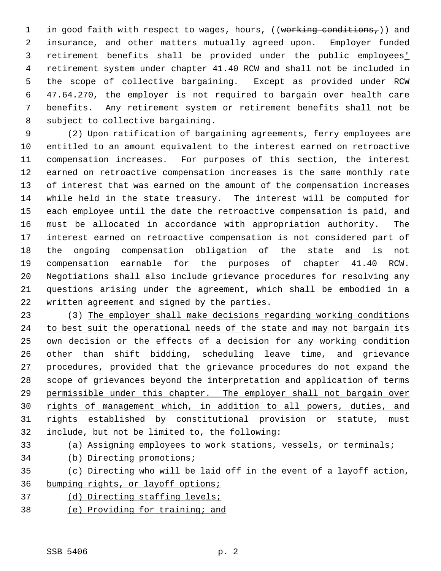1 in good faith with respect to wages, hours,  $((\text{working conditions},))$  and 2 insurance, and other matters mutually agreed upon. Employer funded 3 retirement benefits shall be provided under the public employees' 4 retirement system under chapter 41.40 RCW and shall not be included in 5 the scope of collective bargaining. Except as provided under RCW 6 47.64.270, the employer is not required to bargain over health care 7 benefits. Any retirement system or retirement benefits shall not be 8 subject to collective bargaining.

 9 (2) Upon ratification of bargaining agreements, ferry employees are 10 entitled to an amount equivalent to the interest earned on retroactive 11 compensation increases. For purposes of this section, the interest 12 earned on retroactive compensation increases is the same monthly rate 13 of interest that was earned on the amount of the compensation increases 14 while held in the state treasury. The interest will be computed for 15 each employee until the date the retroactive compensation is paid, and 16 must be allocated in accordance with appropriation authority. The 17 interest earned on retroactive compensation is not considered part of 18 the ongoing compensation obligation of the state and is not 19 compensation earnable for the purposes of chapter 41.40 RCW. 20 Negotiations shall also include grievance procedures for resolving any 21 questions arising under the agreement, which shall be embodied in a 22 written agreement and signed by the parties.

23 (3) The employer shall make decisions regarding working conditions to best suit the operational needs of the state and may not bargain its own decision or the effects of a decision for any working condition other than shift bidding, scheduling leave time, and grievance procedures, provided that the grievance procedures do not expand the scope of grievances beyond the interpretation and application of terms permissible under this chapter. The employer shall not bargain over rights of management which, in addition to all powers, duties, and rights established by constitutional provision or statute, must include, but not be limited to, the following:

- 33 (a) Assigning employees to work stations, vessels, or terminals;
- 34 (b) Directing promotions;
- 35 (c) Directing who will be laid off in the event of a layoff action, 36 bumping rights, or layoff options;
- 37 (d) Directing staffing levels;
- 38 (e) Providing for training; and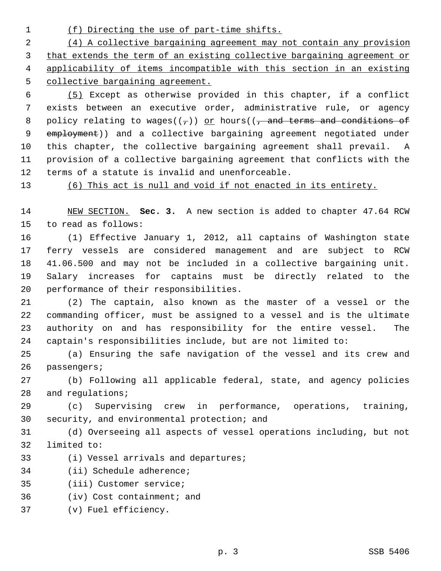1 (f) Directing the use of part-time shifts.

 (4) A collective bargaining agreement may not contain any provision that extends the term of an existing collective bargaining agreement or applicability of items incompatible with this section in an existing collective bargaining agreement.

 6 (5) Except as otherwise provided in this chapter, if a conflict 7 exists between an executive order, administrative rule, or agency 8 policy relating to wages( $(\tau)$ ) or hours( $(\tau)$  and terms and conditions of 9 employment)) and a collective bargaining agreement negotiated under 10 this chapter, the collective bargaining agreement shall prevail. A 11 provision of a collective bargaining agreement that conflicts with the 12 terms of a statute is invalid and unenforceable.

13 (6) This act is null and void if not enacted in its entirety.

14 NEW SECTION. **Sec. 3.** A new section is added to chapter 47.64 RCW 15 to read as follows:

16 (1) Effective January 1, 2012, all captains of Washington state 17 ferry vessels are considered management and are subject to RCW 18 41.06.500 and may not be included in a collective bargaining unit. 19 Salary increases for captains must be directly related to the 20 performance of their responsibilities.

21 (2) The captain, also known as the master of a vessel or the 22 commanding officer, must be assigned to a vessel and is the ultimate 23 authority on and has responsibility for the entire vessel. The 24 captain's responsibilities include, but are not limited to:

25 (a) Ensuring the safe navigation of the vessel and its crew and 26 passengers;

27 (b) Following all applicable federal, state, and agency policies 28 and requlations;

29 (c) Supervising crew in performance, operations, training, 30 security, and environmental protection; and

31 (d) Overseeing all aspects of vessel operations including, but not 32 limited to:

- 33 (i) Vessel arrivals and departures;
- 34 (ii) Schedule adherence;

35 (iii) Customer service;

36 (iv) Cost containment; and

37 (v) Fuel efficiency.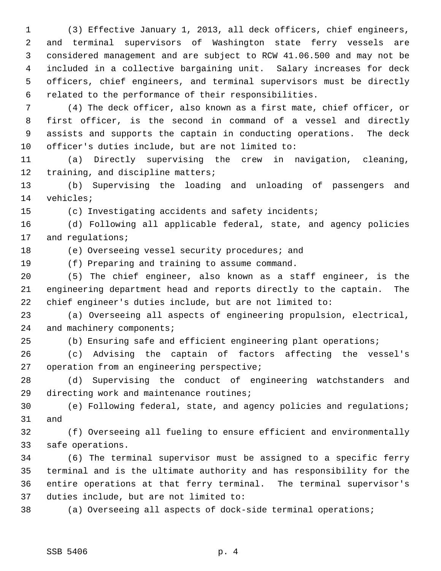1 (3) Effective January 1, 2013, all deck officers, chief engineers, 2 and terminal supervisors of Washington state ferry vessels are 3 considered management and are subject to RCW 41.06.500 and may not be 4 included in a collective bargaining unit. Salary increases for deck 5 officers, chief engineers, and terminal supervisors must be directly 6 related to the performance of their responsibilities.

 7 (4) The deck officer, also known as a first mate, chief officer, or 8 first officer, is the second in command of a vessel and directly 9 assists and supports the captain in conducting operations. The deck 10 officer's duties include, but are not limited to:

11 (a) Directly supervising the crew in navigation, cleaning, 12 training, and discipline matters;

13 (b) Supervising the loading and unloading of passengers and 14 vehicles;

15 (c) Investigating accidents and safety incidents;

16 (d) Following all applicable federal, state, and agency policies 17 and regulations;

18 (e) Overseeing vessel security procedures; and

19 (f) Preparing and training to assume command.

20 (5) The chief engineer, also known as a staff engineer, is the 21 engineering department head and reports directly to the captain. The 22 chief engineer's duties include, but are not limited to:

23 (a) Overseeing all aspects of engineering propulsion, electrical, 24 and machinery components;

25 (b) Ensuring safe and efficient engineering plant operations;

26 (c) Advising the captain of factors affecting the vessel's 27 operation from an engineering perspective;

28 (d) Supervising the conduct of engineering watchstanders and 29 directing work and maintenance routines;

30 (e) Following federal, state, and agency policies and regulations; 31 and

32 (f) Overseeing all fueling to ensure efficient and environmentally 33 safe operations.

34 (6) The terminal supervisor must be assigned to a specific ferry 35 terminal and is the ultimate authority and has responsibility for the 36 entire operations at that ferry terminal. The terminal supervisor's 37 duties include, but are not limited to:

38 (a) Overseeing all aspects of dock-side terminal operations;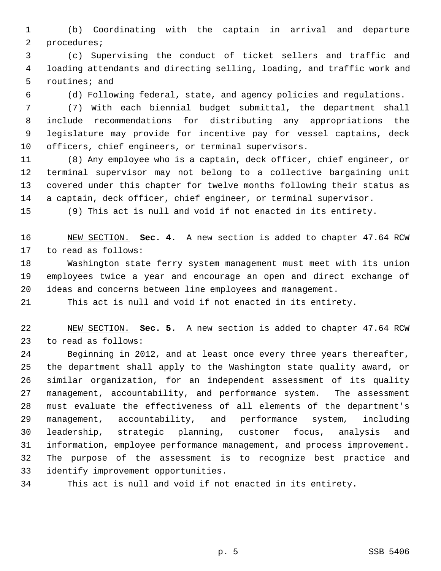1 (b) Coordinating with the captain in arrival and departure 2 procedures;

 3 (c) Supervising the conduct of ticket sellers and traffic and 4 loading attendants and directing selling, loading, and traffic work and 5 routines; and

6 (d) Following federal, state, and agency policies and regulations.

 7 (7) With each biennial budget submittal, the department shall 8 include recommendations for distributing any appropriations the 9 legislature may provide for incentive pay for vessel captains, deck 10 officers, chief engineers, or terminal supervisors.

11 (8) Any employee who is a captain, deck officer, chief engineer, or 12 terminal supervisor may not belong to a collective bargaining unit 13 covered under this chapter for twelve months following their status as 14 a captain, deck officer, chief engineer, or terminal supervisor.

15 (9) This act is null and void if not enacted in its entirety.

16 NEW SECTION. **Sec. 4.** A new section is added to chapter 47.64 RCW 17 to read as follows:

18 Washington state ferry system management must meet with its union 19 employees twice a year and encourage an open and direct exchange of 20 ideas and concerns between line employees and management.

21 This act is null and void if not enacted in its entirety.

22 NEW SECTION. **Sec. 5.** A new section is added to chapter 47.64 RCW 23 to read as follows:

24 Beginning in 2012, and at least once every three years thereafter, 25 the department shall apply to the Washington state quality award, or 26 similar organization, for an independent assessment of its quality 27 management, accountability, and performance system. The assessment 28 must evaluate the effectiveness of all elements of the department's 29 management, accountability, and performance system, including 30 leadership, strategic planning, customer focus, analysis and 31 information, employee performance management, and process improvement. 32 The purpose of the assessment is to recognize best practice and 33 identify improvement opportunities.

34 This act is null and void if not enacted in its entirety.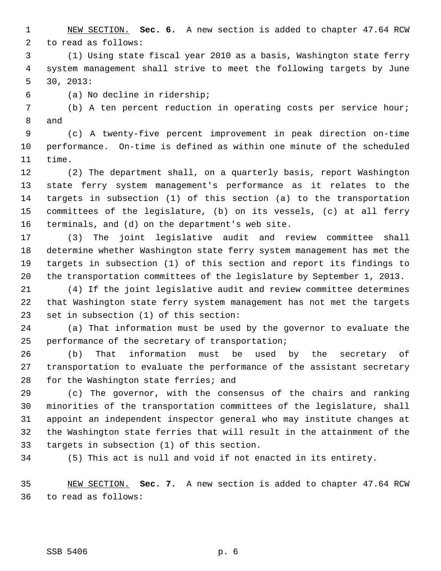1 NEW SECTION. **Sec. 6.** A new section is added to chapter 47.64 RCW 2 to read as follows:

 3 (1) Using state fiscal year 2010 as a basis, Washington state ferry 4 system management shall strive to meet the following targets by June 5 30, 2013:

6 (a) No decline in ridership;

 7 (b) A ten percent reduction in operating costs per service hour; 8 and

 9 (c) A twenty-five percent improvement in peak direction on-time 10 performance. On-time is defined as within one minute of the scheduled 11 time.

12 (2) The department shall, on a quarterly basis, report Washington 13 state ferry system management's performance as it relates to the 14 targets in subsection (1) of this section (a) to the transportation 15 committees of the legislature, (b) on its vessels, (c) at all ferry 16 terminals, and (d) on the department's web site.

17 (3) The joint legislative audit and review committee shall 18 determine whether Washington state ferry system management has met the 19 targets in subsection (1) of this section and report its findings to 20 the transportation committees of the legislature by September 1, 2013.

21 (4) If the joint legislative audit and review committee determines 22 that Washington state ferry system management has not met the targets 23 set in subsection (1) of this section:

24 (a) That information must be used by the governor to evaluate the 25 performance of the secretary of transportation;

26 (b) That information must be used by the secretary of 27 transportation to evaluate the performance of the assistant secretary 28 for the Washington state ferries; and

29 (c) The governor, with the consensus of the chairs and ranking 30 minorities of the transportation committees of the legislature, shall 31 appoint an independent inspector general who may institute changes at 32 the Washington state ferries that will result in the attainment of the 33 targets in subsection (1) of this section.

34 (5) This act is null and void if not enacted in its entirety.

35 NEW SECTION. **Sec. 7.** A new section is added to chapter 47.64 RCW 36 to read as follows: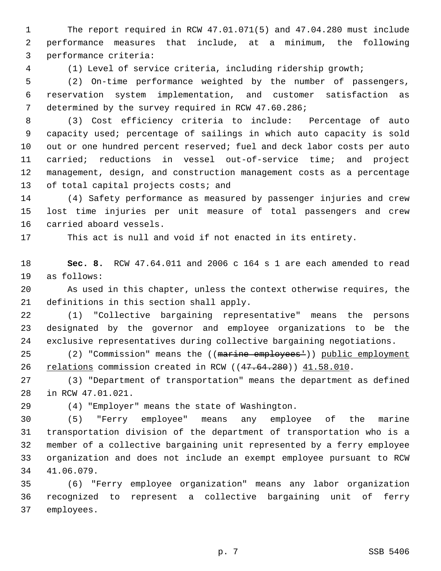1 The report required in RCW 47.01.071(5) and 47.04.280 must include 2 performance measures that include, at a minimum, the following 3 performance criteria:

4 (1) Level of service criteria, including ridership growth;

 5 (2) On-time performance weighted by the number of passengers, 6 reservation system implementation, and customer satisfaction as 7 determined by the survey required in RCW 47.60.286;

 8 (3) Cost efficiency criteria to include: Percentage of auto 9 capacity used; percentage of sailings in which auto capacity is sold 10 out or one hundred percent reserved; fuel and deck labor costs per auto 11 carried; reductions in vessel out-of-service time; and project 12 management, design, and construction management costs as a percentage 13 of total capital projects costs; and

14 (4) Safety performance as measured by passenger injuries and crew 15 lost time injuries per unit measure of total passengers and crew 16 carried aboard vessels.

17 This act is null and void if not enacted in its entirety.

18 **Sec. 8.** RCW 47.64.011 and 2006 c 164 s 1 are each amended to read 19 as follows:

20 As used in this chapter, unless the context otherwise requires, the 21 definitions in this section shall apply.

22 (1) "Collective bargaining representative" means the persons 23 designated by the governor and employee organizations to be the 24 exclusive representatives during collective bargaining negotiations.

25 (2) "Commission" means the ((marine employees<sup>+</sup>)) public employment 26 relations commission created in RCW ((47.64.280)) 41.58.010.

27 (3) "Department of transportation" means the department as defined 28 in RCW 47.01.021.

29 (4) "Employer" means the state of Washington.

30 (5) "Ferry employee" means any employee of the marine 31 transportation division of the department of transportation who is a 32 member of a collective bargaining unit represented by a ferry employee 33 organization and does not include an exempt employee pursuant to RCW 34 41.06.079.

35 (6) "Ferry employee organization" means any labor organization 36 recognized to represent a collective bargaining unit of ferry 37 employees.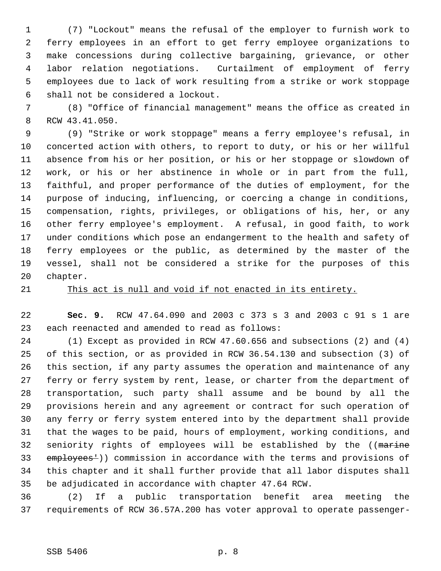1 (7) "Lockout" means the refusal of the employer to furnish work to 2 ferry employees in an effort to get ferry employee organizations to 3 make concessions during collective bargaining, grievance, or other 4 labor relation negotiations. Curtailment of employment of ferry 5 employees due to lack of work resulting from a strike or work stoppage 6 shall not be considered a lockout.

 7 (8) "Office of financial management" means the office as created in 8 RCW 43.41.050.

 9 (9) "Strike or work stoppage" means a ferry employee's refusal, in 10 concerted action with others, to report to duty, or his or her willful 11 absence from his or her position, or his or her stoppage or slowdown of 12 work, or his or her abstinence in whole or in part from the full, 13 faithful, and proper performance of the duties of employment, for the 14 purpose of inducing, influencing, or coercing a change in conditions, 15 compensation, rights, privileges, or obligations of his, her, or any 16 other ferry employee's employment. A refusal, in good faith, to work 17 under conditions which pose an endangerment to the health and safety of 18 ferry employees or the public, as determined by the master of the 19 vessel, shall not be considered a strike for the purposes of this 20 chapter.

## 21 This act is null and void if not enacted in its entirety.

22 **Sec. 9.** RCW 47.64.090 and 2003 c 373 s 3 and 2003 c 91 s 1 are 23 each reenacted and amended to read as follows:

24 (1) Except as provided in RCW 47.60.656 and subsections (2) and (4) 25 of this section, or as provided in RCW 36.54.130 and subsection (3) of 26 this section, if any party assumes the operation and maintenance of any 27 ferry or ferry system by rent, lease, or charter from the department of 28 transportation, such party shall assume and be bound by all the 29 provisions herein and any agreement or contract for such operation of 30 any ferry or ferry system entered into by the department shall provide 31 that the wages to be paid, hours of employment, working conditions, and 32 seniority rights of employees will be established by the ((marine 33 employees<sup>1</sup>)) commission in accordance with the terms and provisions of 34 this chapter and it shall further provide that all labor disputes shall 35 be adjudicated in accordance with chapter 47.64 RCW.

36 (2) If a public transportation benefit area meeting the 37 requirements of RCW 36.57A.200 has voter approval to operate passenger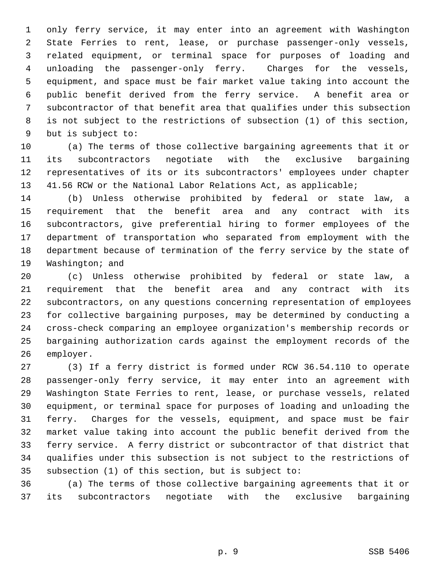1 only ferry service, it may enter into an agreement with Washington 2 State Ferries to rent, lease, or purchase passenger-only vessels, 3 related equipment, or terminal space for purposes of loading and 4 unloading the passenger-only ferry. Charges for the vessels, 5 equipment, and space must be fair market value taking into account the 6 public benefit derived from the ferry service. A benefit area or 7 subcontractor of that benefit area that qualifies under this subsection 8 is not subject to the restrictions of subsection (1) of this section, 9 but is subject to:

10 (a) The terms of those collective bargaining agreements that it or 11 its subcontractors negotiate with the exclusive bargaining 12 representatives of its or its subcontractors' employees under chapter 13 41.56 RCW or the National Labor Relations Act, as applicable;

14 (b) Unless otherwise prohibited by federal or state law, a 15 requirement that the benefit area and any contract with its 16 subcontractors, give preferential hiring to former employees of the 17 department of transportation who separated from employment with the 18 department because of termination of the ferry service by the state of 19 Washington; and

20 (c) Unless otherwise prohibited by federal or state law, a 21 requirement that the benefit area and any contract with its 22 subcontractors, on any questions concerning representation of employees 23 for collective bargaining purposes, may be determined by conducting a 24 cross-check comparing an employee organization's membership records or 25 bargaining authorization cards against the employment records of the 26 employer.

27 (3) If a ferry district is formed under RCW 36.54.110 to operate 28 passenger-only ferry service, it may enter into an agreement with 29 Washington State Ferries to rent, lease, or purchase vessels, related 30 equipment, or terminal space for purposes of loading and unloading the 31 ferry. Charges for the vessels, equipment, and space must be fair 32 market value taking into account the public benefit derived from the 33 ferry service. A ferry district or subcontractor of that district that 34 qualifies under this subsection is not subject to the restrictions of 35 subsection (1) of this section, but is subject to:

36 (a) The terms of those collective bargaining agreements that it or 37 its subcontractors negotiate with the exclusive bargaining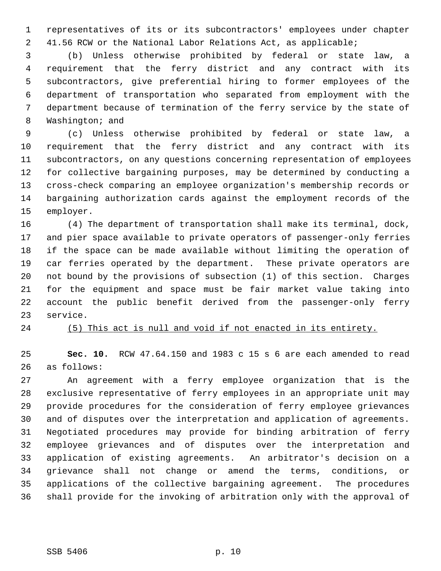1 representatives of its or its subcontractors' employees under chapter 2 41.56 RCW or the National Labor Relations Act, as applicable;

 3 (b) Unless otherwise prohibited by federal or state law, a 4 requirement that the ferry district and any contract with its 5 subcontractors, give preferential hiring to former employees of the 6 department of transportation who separated from employment with the 7 department because of termination of the ferry service by the state of 8 Washington; and

 9 (c) Unless otherwise prohibited by federal or state law, a 10 requirement that the ferry district and any contract with its 11 subcontractors, on any questions concerning representation of employees 12 for collective bargaining purposes, may be determined by conducting a 13 cross-check comparing an employee organization's membership records or 14 bargaining authorization cards against the employment records of the 15 employer.

16 (4) The department of transportation shall make its terminal, dock, 17 and pier space available to private operators of passenger-only ferries 18 if the space can be made available without limiting the operation of 19 car ferries operated by the department. These private operators are 20 not bound by the provisions of subsection (1) of this section. Charges 21 for the equipment and space must be fair market value taking into 22 account the public benefit derived from the passenger-only ferry 23 service.

24 (5) This act is null and void if not enacted in its entirety.

25 **Sec. 10.** RCW 47.64.150 and 1983 c 15 s 6 are each amended to read 26 as follows:

27 An agreement with a ferry employee organization that is the 28 exclusive representative of ferry employees in an appropriate unit may 29 provide procedures for the consideration of ferry employee grievances 30 and of disputes over the interpretation and application of agreements. 31 Negotiated procedures may provide for binding arbitration of ferry 32 employee grievances and of disputes over the interpretation and 33 application of existing agreements. An arbitrator's decision on a 34 grievance shall not change or amend the terms, conditions, or 35 applications of the collective bargaining agreement. The procedures 36 shall provide for the invoking of arbitration only with the approval of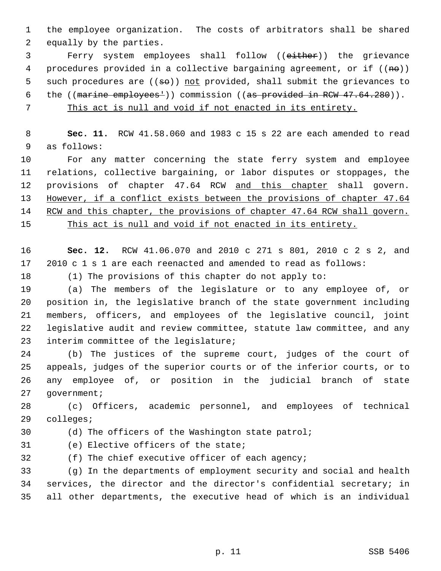1 the employee organization. The costs of arbitrators shall be shared 2 equally by the parties.

 3 Ferry system employees shall follow ((either)) the grievance 4 procedures provided in a collective bargaining agreement, or if  $((n\theta))$ 5 such procedures are  $((\del{s0}))$  not provided, shall submit the grievances to 6 the ((marine employees<sup>1</sup>)) commission ((as provided in RCW 47.64.280)).

7 This act is null and void if not enacted in its entirety.

 8 **Sec. 11.** RCW 41.58.060 and 1983 c 15 s 22 are each amended to read 9 as follows:

10 For any matter concerning the state ferry system and employee 11 relations, collective bargaining, or labor disputes or stoppages, the 12 provisions of chapter 47.64 RCW and this chapter shall govern. 13 However, if a conflict exists between the provisions of chapter 47.64 14 RCW and this chapter, the provisions of chapter 47.64 RCW shall govern.

15 This act is null and void if not enacted in its entirety.

16 **Sec. 12.** RCW 41.06.070 and 2010 c 271 s 801, 2010 c 2 s 2, and 17 2010 c 1 s 1 are each reenacted and amended to read as follows:

18 (1) The provisions of this chapter do not apply to:

19 (a) The members of the legislature or to any employee of, or 20 position in, the legislative branch of the state government including 21 members, officers, and employees of the legislative council, joint 22 legislative audit and review committee, statute law committee, and any 23 interim committee of the legislature;

24 (b) The justices of the supreme court, judges of the court of 25 appeals, judges of the superior courts or of the inferior courts, or to 26 any employee of, or position in the judicial branch of state 27 government;

28 (c) Officers, academic personnel, and employees of technical 29 colleges;

30 (d) The officers of the Washington state patrol;

31 (e) Elective officers of the state;

32 (f) The chief executive officer of each agency;

33 (g) In the departments of employment security and social and health 34 services, the director and the director's confidential secretary; in 35 all other departments, the executive head of which is an individual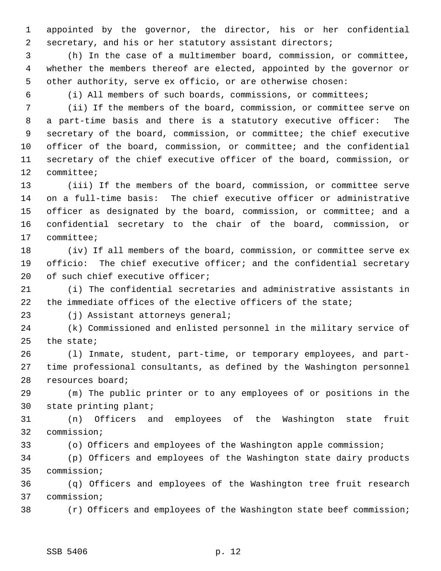1 appointed by the governor, the director, his or her confidential 2 secretary, and his or her statutory assistant directors;

 3 (h) In the case of a multimember board, commission, or committee, 4 whether the members thereof are elected, appointed by the governor or 5 other authority, serve ex officio, or are otherwise chosen:

6 (i) All members of such boards, commissions, or committees;

 7 (ii) If the members of the board, commission, or committee serve on 8 a part-time basis and there is a statutory executive officer: The 9 secretary of the board, commission, or committee; the chief executive 10 officer of the board, commission, or committee; and the confidential 11 secretary of the chief executive officer of the board, commission, or 12 committee;

13 (iii) If the members of the board, commission, or committee serve 14 on a full-time basis: The chief executive officer or administrative 15 officer as designated by the board, commission, or committee; and a 16 confidential secretary to the chair of the board, commission, or 17 committee;

18 (iv) If all members of the board, commission, or committee serve ex 19 officio: The chief executive officer; and the confidential secretary 20 of such chief executive officer;

21 (i) The confidential secretaries and administrative assistants in 22 the immediate offices of the elective officers of the state;

23 (j) Assistant attorneys general;

24 (k) Commissioned and enlisted personnel in the military service of 25 the state;

26 (l) Inmate, student, part-time, or temporary employees, and part-27 time professional consultants, as defined by the Washington personnel 28 resources board;

29 (m) The public printer or to any employees of or positions in the 30 state printing plant;

31 (n) Officers and employees of the Washington state fruit 32 commission;

33 (o) Officers and employees of the Washington apple commission;

34 (p) Officers and employees of the Washington state dairy products 35 commission;

36 (q) Officers and employees of the Washington tree fruit research 37 commission;

38 (r) Officers and employees of the Washington state beef commission;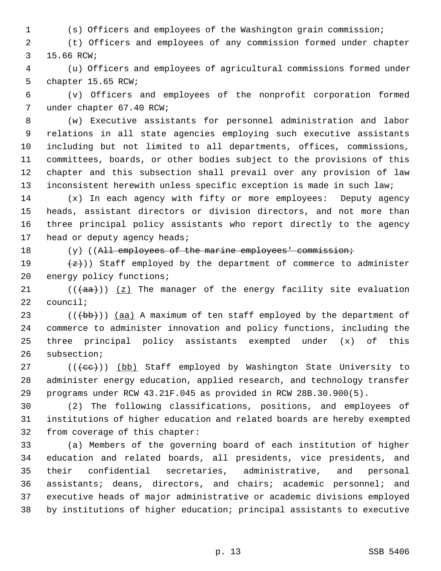1 (s) Officers and employees of the Washington grain commission;

 2 (t) Officers and employees of any commission formed under chapter 3 15.66 RCW;

 4 (u) Officers and employees of agricultural commissions formed under 5 chapter 15.65 RCW;

 6 (v) Officers and employees of the nonprofit corporation formed 7 under chapter 67.40 RCW;

 8 (w) Executive assistants for personnel administration and labor 9 relations in all state agencies employing such executive assistants 10 including but not limited to all departments, offices, commissions, 11 committees, boards, or other bodies subject to the provisions of this 12 chapter and this subsection shall prevail over any provision of law 13 inconsistent herewith unless specific exception is made in such law;

14 (x) In each agency with fifty or more employees: Deputy agency 15 heads, assistant directors or division directors, and not more than 16 three principal policy assistants who report directly to the agency 17 head or deputy agency heads;

## 18 (y) ((All employees of the marine employees' commission;

19  $\left(\frac{z}{z}\right)$ ) Staff employed by the department of commerce to administer 20 energy policy functions;

21  $((+a^2)(a^2)^2 + b^2)$  The manager of the energy facility site evaluation 22 council;

23  $((+bb)$ ) (aa) A maximum of ten staff employed by the department of 24 commerce to administer innovation and policy functions, including the 25 three principal policy assistants exempted under (x) of this 26 subsection;

 $27$  (( $\text{(\text{ee})})$  (bb) Staff employed by Washington State University to 28 administer energy education, applied research, and technology transfer 29 programs under RCW 43.21F.045 as provided in RCW 28B.30.900(5).

30 (2) The following classifications, positions, and employees of 31 institutions of higher education and related boards are hereby exempted 32 from coverage of this chapter:

33 (a) Members of the governing board of each institution of higher 34 education and related boards, all presidents, vice presidents, and 35 their confidential secretaries, administrative, and personal 36 assistants; deans, directors, and chairs; academic personnel; and 37 executive heads of major administrative or academic divisions employed 38 by institutions of higher education; principal assistants to executive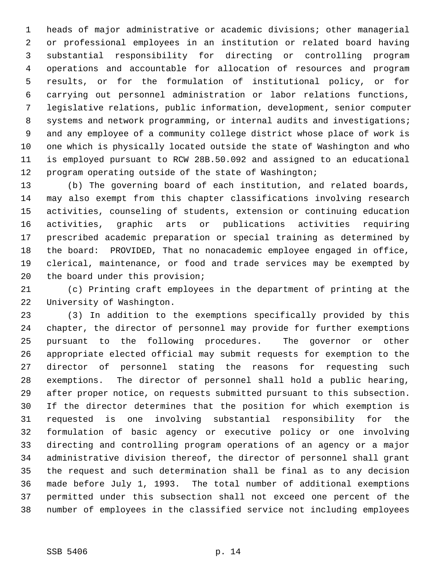1 heads of major administrative or academic divisions; other managerial 2 or professional employees in an institution or related board having 3 substantial responsibility for directing or controlling program 4 operations and accountable for allocation of resources and program 5 results, or for the formulation of institutional policy, or for 6 carrying out personnel administration or labor relations functions, 7 legislative relations, public information, development, senior computer 8 systems and network programming, or internal audits and investigations; 9 and any employee of a community college district whose place of work is 10 one which is physically located outside the state of Washington and who 11 is employed pursuant to RCW 28B.50.092 and assigned to an educational 12 program operating outside of the state of Washington;

13 (b) The governing board of each institution, and related boards, 14 may also exempt from this chapter classifications involving research 15 activities, counseling of students, extension or continuing education 16 activities, graphic arts or publications activities requiring 17 prescribed academic preparation or special training as determined by 18 the board: PROVIDED, That no nonacademic employee engaged in office, 19 clerical, maintenance, or food and trade services may be exempted by 20 the board under this provision;

21 (c) Printing craft employees in the department of printing at the 22 University of Washington.

23 (3) In addition to the exemptions specifically provided by this 24 chapter, the director of personnel may provide for further exemptions 25 pursuant to the following procedures. The governor or other 26 appropriate elected official may submit requests for exemption to the 27 director of personnel stating the reasons for requesting such 28 exemptions. The director of personnel shall hold a public hearing, 29 after proper notice, on requests submitted pursuant to this subsection. 30 If the director determines that the position for which exemption is 31 requested is one involving substantial responsibility for the 32 formulation of basic agency or executive policy or one involving 33 directing and controlling program operations of an agency or a major 34 administrative division thereof, the director of personnel shall grant 35 the request and such determination shall be final as to any decision 36 made before July 1, 1993. The total number of additional exemptions 37 permitted under this subsection shall not exceed one percent of the 38 number of employees in the classified service not including employees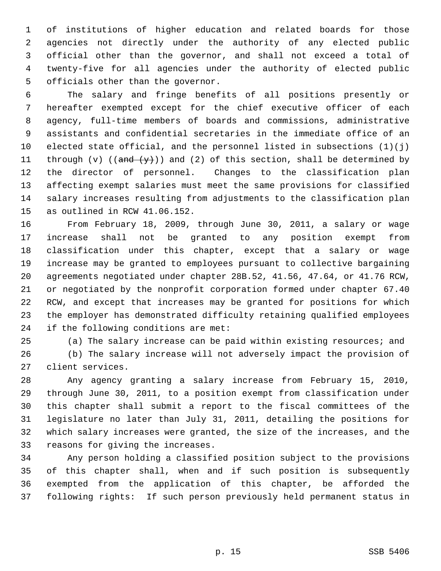1 of institutions of higher education and related boards for those 2 agencies not directly under the authority of any elected public 3 official other than the governor, and shall not exceed a total of 4 twenty-five for all agencies under the authority of elected public 5 officials other than the governor.

 6 The salary and fringe benefits of all positions presently or 7 hereafter exempted except for the chief executive officer of each 8 agency, full-time members of boards and commissions, administrative 9 assistants and confidential secretaries in the immediate office of an 10 elected state official, and the personnel listed in subsections  $(1)(j)$ 11 through (v) (( $\frac{and (y)}{y}$ )) and (2) of this section, shall be determined by 12 the director of personnel. Changes to the classification plan 13 affecting exempt salaries must meet the same provisions for classified 14 salary increases resulting from adjustments to the classification plan 15 as outlined in RCW 41.06.152.

16 From February 18, 2009, through June 30, 2011, a salary or wage 17 increase shall not be granted to any position exempt from 18 classification under this chapter, except that a salary or wage 19 increase may be granted to employees pursuant to collective bargaining 20 agreements negotiated under chapter 28B.52, 41.56, 47.64, or 41.76 RCW, 21 or negotiated by the nonprofit corporation formed under chapter 67.40 22 RCW, and except that increases may be granted for positions for which 23 the employer has demonstrated difficulty retaining qualified employees 24 if the following conditions are met:

25 (a) The salary increase can be paid within existing resources; and

26 (b) The salary increase will not adversely impact the provision of 27 client services.

28 Any agency granting a salary increase from February 15, 2010, 29 through June 30, 2011, to a position exempt from classification under 30 this chapter shall submit a report to the fiscal committees of the 31 legislature no later than July 31, 2011, detailing the positions for 32 which salary increases were granted, the size of the increases, and the 33 reasons for giving the increases.

34 Any person holding a classified position subject to the provisions 35 of this chapter shall, when and if such position is subsequently 36 exempted from the application of this chapter, be afforded the 37 following rights: If such person previously held permanent status in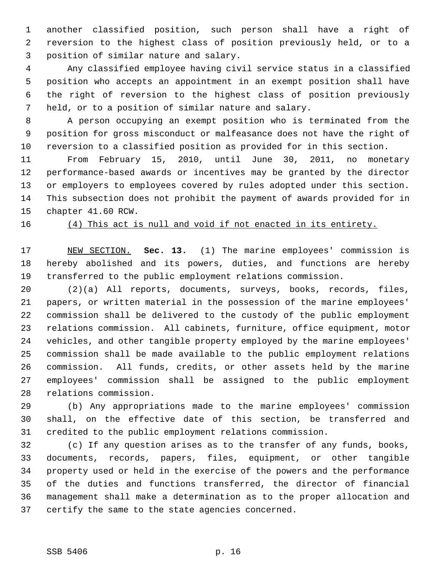1 another classified position, such person shall have a right of 2 reversion to the highest class of position previously held, or to a 3 position of similar nature and salary.

 4 Any classified employee having civil service status in a classified 5 position who accepts an appointment in an exempt position shall have 6 the right of reversion to the highest class of position previously 7 held, or to a position of similar nature and salary.

 8 A person occupying an exempt position who is terminated from the 9 position for gross misconduct or malfeasance does not have the right of 10 reversion to a classified position as provided for in this section.

11 From February 15, 2010, until June 30, 2011, no monetary 12 performance-based awards or incentives may be granted by the director 13 or employers to employees covered by rules adopted under this section. 14 This subsection does not prohibit the payment of awards provided for in 15 chapter 41.60 RCW.

16 (4) This act is null and void if not enacted in its entirety.

17 NEW SECTION. **Sec. 13.** (1) The marine employees' commission is 18 hereby abolished and its powers, duties, and functions are hereby 19 transferred to the public employment relations commission.

20 (2)(a) All reports, documents, surveys, books, records, files, 21 papers, or written material in the possession of the marine employees' 22 commission shall be delivered to the custody of the public employment 23 relations commission. All cabinets, furniture, office equipment, motor 24 vehicles, and other tangible property employed by the marine employees' 25 commission shall be made available to the public employment relations 26 commission. All funds, credits, or other assets held by the marine 27 employees' commission shall be assigned to the public employment 28 relations commission.

29 (b) Any appropriations made to the marine employees' commission 30 shall, on the effective date of this section, be transferred and 31 credited to the public employment relations commission.

32 (c) If any question arises as to the transfer of any funds, books, 33 documents, records, papers, files, equipment, or other tangible 34 property used or held in the exercise of the powers and the performance 35 of the duties and functions transferred, the director of financial 36 management shall make a determination as to the proper allocation and 37 certify the same to the state agencies concerned.